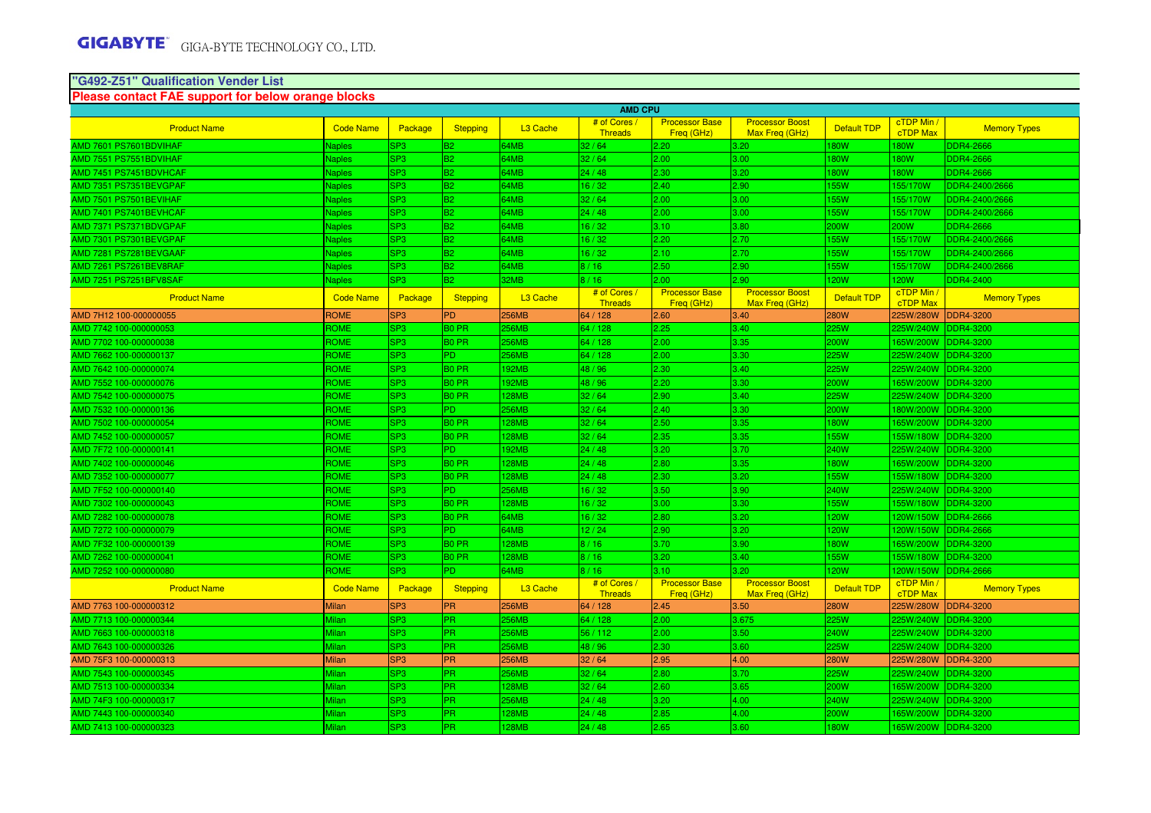# **"G492-Z51" Qualification Vender List Please contact FAE support for below orange blocks**

|                        | <b>AMD CPU</b>   |                 |                   |                      |                                |                                     |                                          |                    |                               |                     |
|------------------------|------------------|-----------------|-------------------|----------------------|--------------------------------|-------------------------------------|------------------------------------------|--------------------|-------------------------------|---------------------|
| <b>Product Name</b>    | <b>Code Name</b> | Package         | <b>Stepping</b>   | L <sub>3</sub> Cache | # of Cores<br>Threads          | <b>Processor Base</b><br>Freq (GHz) | <b>Processor Boost</b><br>Max Freq (GHz) | <b>Default TDP</b> | cTDP Min /<br><b>cTDP Max</b> | <b>Memory Types</b> |
| AMD 7601 PS7601BDVIHAF | Japles           | SP3             | B <sub>2</sub>    | 64MB                 | 32/64                          | 2.20                                | 3.20                                     | 80W                | <b>80W</b>                    | <b>DDR4-2666</b>    |
| AMD 7551 PS7551BDVIHAF | <b>Vaples</b>    | SP3             | <b>B2</b>         | 64MB                 | 32/64                          | 2.00                                | 3.00                                     | <b>80W</b>         | 180W                          | <b>DDR4-2666</b>    |
| AMD 7451 PS7451BDVHCAF | <b>Naples</b>    | SP3             | <b>B2</b>         | 64MB                 | 24/48                          | 2.30                                | 3.20                                     | <b>80W</b>         | <b>180W</b>                   | <b>DDR4-2666</b>    |
| AMD 7351 PS7351BEVGPAF | <b>Naples</b>    | SP3             | <b>B2</b>         | 64MB                 | 16/32                          | 2.40                                | 2.90                                     | <b>55W</b>         | 155/170W                      | DDR4-2400/2666      |
| AMD 7501 PS7501BEVIHAF | <b>Naples</b>    | SP3             | <b>B2</b>         | 64MB                 | 32/64                          | 2.00                                | 3.00                                     | 155W               | 155/170W                      | DDR4-2400/2666      |
| AMD 7401 PS7401BEVHCAF | <b>Naples</b>    | SP3             | <b>B2</b>         | 64MB                 | 24/48                          | 2.00                                | 3.00                                     | 155W               | 155/170W                      | DDR4-2400/2666      |
| AMD 7371 PS7371BDVGPAF | <b>Naples</b>    | SP3             | <b>B2</b>         | 64MB                 | 16/32                          | 3.10                                | 3.80                                     | 200W               | 200W                          | <b>DDR4-2666</b>    |
| AMD 7301 PS7301BEVGPAF | <b>Naples</b>    | SP3             | <b>B2</b>         | 64MB                 | 16/32                          | 2.20                                | 2.70                                     | <b>55W</b>         | 155/170W                      | DDR4-2400/2666      |
| AMD 7281 PS7281BEVGAAF | Naples           | SP3             | <b>B2</b>         | 64MB                 | 16/32                          | 2.10                                | 2.70                                     | <b>55W</b>         | 155/170W                      | DDR4-2400/2666      |
| AMD 7261 PS7261BEV8RAF | Naples           | SP3             | <b>B2</b>         | 64MB                 | 8/16                           | 2.50                                | 2.90                                     | <b>55W</b>         | 155/170W                      | DDR4-2400/2666      |
| AMD 7251 PS7251BFV8SAF | <b>Naples</b>    | SP3             | <b>B2</b>         | 32MB                 | 8/16                           | 2.00 <sub>1</sub>                   | 2.90                                     | <b>20W</b>         | <b>120W</b>                   | <b>DDR4-2400</b>    |
| <b>Product Name</b>    | <b>Code Name</b> | Package         | Stepping          | L <sub>3</sub> Cache | # of Cores /<br><b>Threads</b> | <b>Processor Base</b><br>Freq (GHz) | <b>Processor Boost</b><br>Max Freq (GHz) | <b>Default TDP</b> | cTDP Min /<br>cTDP Max        | <b>Memory Types</b> |
| AMD 7H12 100-000000055 | <b>ROME</b>      | SP <sub>3</sub> | <b>PD</b>         | <b>256MB</b>         | 64 / 128                       | 2.60                                | 3.40                                     | <b>280W</b>        | 225W/280W                     | <b>DDR4-3200</b>    |
| AMD 7742 100-000000053 | ROME             | SP3             | B <sub>0</sub> PR | 256MB                | 64 / 128                       | 2.25                                | 3.40                                     | 25W                | 225W/240W                     | <b>DDR4-3200</b>    |
| AMD 7702 100-000000038 | ROME             | SP3             | B <sub>0</sub> PR | 256MB                | 64 / 128                       | 2.00                                | 3.35                                     | 200W               | 165W/200W                     | <b>DDR4-3200</b>    |
| AMD 7662 100-000000137 | ROME             | SP3             | PD.               | 256MB                | 64 / 128                       | 2.00 <sub>1</sub>                   | 3.30                                     | 25W                | 225W/240W                     | <b>DDR4-3200</b>    |
| AMD 7642 100-000000074 | ROME             | SP <sub>3</sub> | B <sub>0</sub> PR | 192MB                | 48/96                          | 2.30                                | 3.40                                     | 225W               | 225W/240W                     | <b>DDR4-3200</b>    |
| AMD 7552 100-000000076 | ROME             | SP <sub>3</sub> | B <sub>0</sub> PR | 192MB                | 48 / 96                        | 2.20                                | 3.30                                     | 200W               | 165W/200W                     | <b>DDR4-3200</b>    |
| AMD 7542 100-000000075 | ROME             | SP3             | B <sub>0</sub> PR | 128MB                | 32/64                          | 2.90                                | 3.40                                     | 225W               | 225W/240W                     | <b>DDR4-3200</b>    |
| AMD 7532 100-000000136 | ROME             | SP3             | PD.               | 256MB                | 32/64                          | 2.40                                | 3.30                                     | 200W               | 180W/200W                     | <b>DDR4-3200</b>    |
| AMD 7502 100-000000054 | ROME             | SP3             | <b>BO PR</b>      | <b>28MB</b>          | 32/64                          | 2.50                                | 3.35                                     | <b>80W</b>         | 165W/200W                     | <b>DDR4-3200</b>    |
| AMD 7452 100-000000057 | ROME             | SP3             | B <sub>0</sub> PR | 128MB                | 32/64                          | 2.35                                | 3.35                                     | 155W               | 155W/180W                     | <b>DDR4-3200</b>    |
| AMD 7F72 100-000000141 | ROME             | SP3             | PD.               | 192MB                | 24/48                          | 3.20                                | 3.70                                     | 240W               | 225W/240W                     | <b>DDR4-3200</b>    |
| AMD 7402 100-000000046 | ROME             | SP <sub>3</sub> | B <sub>0</sub> PR | 128MB                | 24/48                          | 2.80                                | 3.35                                     | 180W               | 165W/200W                     | <b>DDR4-3200</b>    |
| AMD 7352 100-000000077 | ROME             | SP3             | B <sub>0</sub> PR | 128MB                | 24/48                          | 2.30                                | 3.20                                     | 155W               | 155W/180W                     | <b>DDR4-3200</b>    |
| AMD 7F52 100-000000140 | ROME             | SP <sub>3</sub> | PD.               | 256MB                | 16/32                          | 3.50                                | 3.90                                     | 240W               | 225W/240W                     | <b>DDR4-3200</b>    |
| AMD 7302 100-000000043 | ROME             | SP3             | <b>BO PR</b>      | <b>28MB</b>          | 16/32                          | 3.00                                | 3.30                                     | <b>55W</b>         | 155W/180W                     | <b>DDR4-3200</b>    |
| AMD 7282 100-000000078 | ROME             | SP3             | B0 PR             | 64MB                 | 16/32                          | 2.80                                | 3.20                                     | 20W                | 120W/150W                     | <b>DDR4-2666</b>    |
| AMD 7272 100-000000079 | ROME             | SP <sub>3</sub> | PD.               | 64MB                 | 12/24                          | 2.90                                | 3.20                                     | 120W               | 120W/150W                     | <b>DDR4-2666</b>    |
| AMD 7F32 100-000000139 | ROME             | SP <sub>3</sub> | B <sub>0</sub> PR | <b>28MB</b>          | 8/16                           | 3.70                                | 3.90                                     | 180W               | 165W/200W                     | <b>DDR4-3200</b>    |
| AMD 7262 100-000000041 | ROME             | SP3             | B <sub>0</sub> PR | 128MB                | 8/16                           | 3.20                                | 3.40                                     | 155W               | 155W/180W                     | <b>DDR4-3200</b>    |
| AMD 7252 100-000000080 | ROME             | SP3             | PD.               | 64MB                 | 8/16                           | 3.10                                | 3.20                                     | <b>20W</b>         | 120W/150W                     | <b>DDR4-2666</b>    |
| <b>Product Name</b>    | <b>Code Name</b> | Package         | <b>Stepping</b>   | L <sub>3</sub> Cache | # of Cores /<br><b>Threads</b> | <b>Processor Base</b><br>Freq (GHz) | <b>Processor Boost</b><br>Max Freq (GHz) | <b>Default TDP</b> | cTDP Min<br>cTDP Max          | <b>Memory Types</b> |
| AMD 7763 100-000000312 | <b>Milan</b>     | SP <sub>3</sub> | <b>PR</b>         | <b>256MB</b>         | 64 / 128                       | 2.45                                | 3.50                                     | <b>280W</b>        | 225W/280W                     | <b>DDR4-3200</b>    |
| AMD 7713 100-000000344 | Milan            | SP3             | PR.               | 256MB                | 64 / 128                       | 2.00 <sub>1</sub>                   | 3.675                                    | 225W               | 225W/240W                     | <b>DDR4-3200</b>    |
| AMD 7663 100-000000318 | Milan            | SP <sub>3</sub> | PR.               | 256MB                | 56 / 112                       | 2.00                                | 3.50                                     | 240W               | 225W/240W                     | <b>DDR4-3200</b>    |
| AMD 7643 100-000000326 | Milan            | SP3             | <b>PR</b>         | 256MB                | 48 / 96                        | 2.30                                | 3.60                                     | 225W               | 225W/240W                     | <b>DDR4-3200</b>    |
| AMD 75F3 100-000000313 | <b>Milan</b>     | SP <sub>3</sub> | <b>PR</b>         | <b>256MB</b>         | 32/64                          | 2.95                                | 4.00                                     | <b>280W</b>        | 225W/280W                     | <b>DDR4-3200</b>    |
| AMD 7543 100-000000345 | Milar            | SP3             | PR.               | 256MB                | 32/64                          | 2.80                                | 3.70                                     | 225W               | 225W/240W                     | <b>DDR4-3200</b>    |
| AMD 7513 100-000000334 | Milan            | SP3             | PR                | <b>28MB</b>          | 32/64                          | 2.60                                | 3.65                                     | 200W               | 165W/200W                     | <b>DDR4-3200</b>    |
| AMD 74F3 100-000000317 | Milan            | SP3             | PR.               | 256MB                | 24/48                          | 3.20                                | 4.00                                     | 240W               | 225W/240W                     | <b>DDR4-3200</b>    |
| AMD 7443 100-000000340 | Milan            | SP3             | PR.               | 28MB                 | 24/48                          | 2.85                                | 4.00                                     | 200W               | 165W/200W                     | <b>DDR4-3200</b>    |
| AMD 7413 100-000000323 | Milan            | SP <sub>3</sub> | <b>PR</b>         | 128MB                | 24/48                          | 2.65                                | 3.60                                     | 180W               | 165W/200W DDR4-3200           |                     |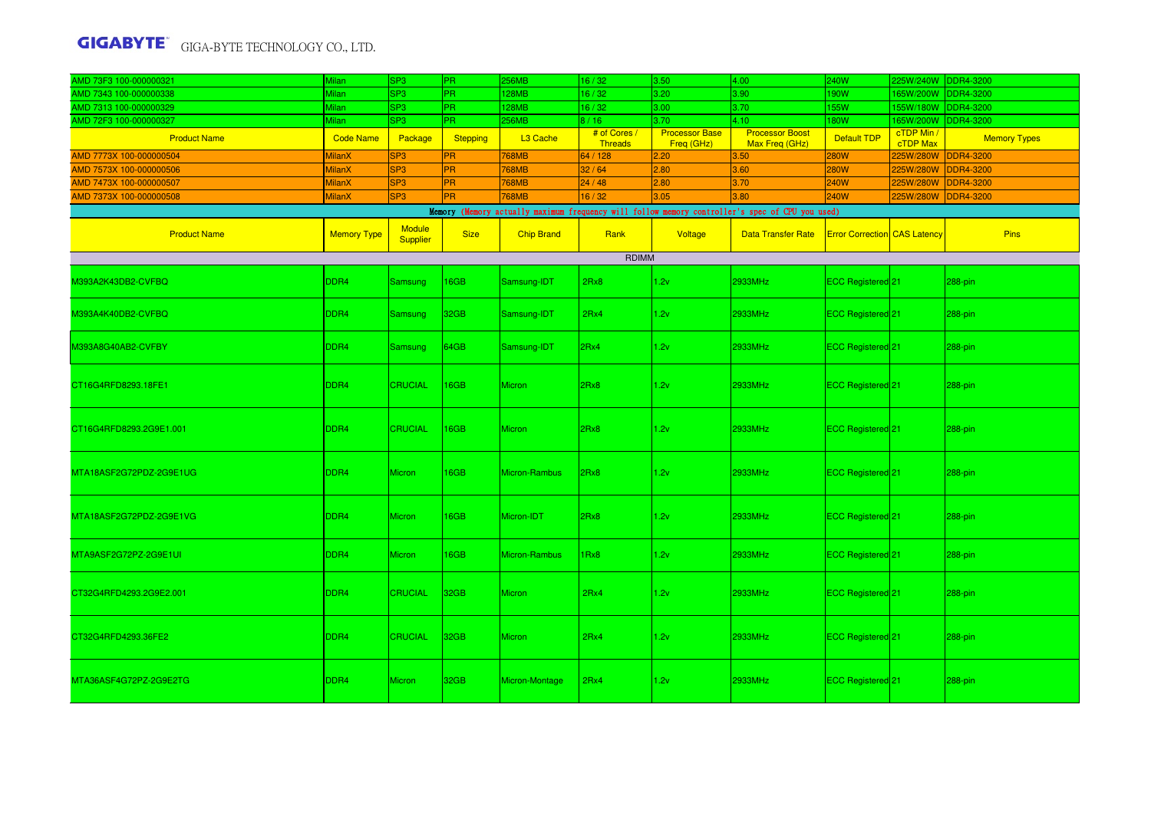| AMD 73F3 100-000000321                                                                          | <b>Milan</b>       | SP <sub>3</sub>                  | PR.              | 256MB             | 16/32                          | 3.50                                | 4.00                                     | 240W                                | 225W/240W DDR4-3200    |                     |
|-------------------------------------------------------------------------------------------------|--------------------|----------------------------------|------------------|-------------------|--------------------------------|-------------------------------------|------------------------------------------|-------------------------------------|------------------------|---------------------|
| AMD 7343 100-000000338                                                                          | Milan              | SP <sub>3</sub>                  | PR.              | 128MB             | 16/32                          | 3.20                                | 3.90                                     | 190W                                | 165W/200W              | <b>DDR4-3200</b>    |
| AMD 7313 100-000000329                                                                          | <b>Milan</b>       | SP <sub>3</sub>                  | PR.              | <b>28MB</b>       | 16/32                          | 3.00                                | 3.70                                     | <b>55W</b>                          | 55W/180W               | DDR4-3200           |
| AMD 72F3 100-000000327                                                                          | <b>Milan</b>       | SP <sub>3</sub>                  | PR.              | <b>256MB</b>      | 8/16                           | 3.70                                | 4.10                                     | <b>180W</b>                         | 165W/200W              | DDR4-3200           |
| <b>Product Name</b>                                                                             | <b>Code Name</b>   | Package                          | <b>Stepping</b>  | L3 Cache          | # of Cores /<br><b>Threads</b> | <b>Processor Base</b><br>Freq (GHz) | <b>Processor Boost</b><br>Max Freg (GHz) | Default TDP                         | cTDP Min /<br>cTDP Max | <b>Memory Types</b> |
| AMD 7773X 100-000000504                                                                         | <b>MilanX</b>      | SP <sub>3</sub>                  | PR.              | <b>768MB</b>      | 64 / 128                       | 2.20                                | 3.50                                     | <b>280W</b>                         | 225W/280W              | <b>DDR4-3200</b>    |
| AMD 7573X 100-000000506                                                                         | <b>MilanX</b>      | SP <sub>3</sub>                  | <b>PR</b>        | <b>768MB</b>      | 32/64                          | 2.80                                | 3.60                                     | <b>280W</b>                         | 225W/280W              | <b>DDR4-3200</b>    |
| AMD 7473X 100-000000507                                                                         | <b>MilanX</b>      | SP <sub>3</sub>                  | <b>PR</b>        | <b>768MB</b>      | 24/48                          | 2.80                                | 3.70                                     | 240W                                | 225W/280W              | <b>DDR4-3200</b>    |
| AMD 7373X 100-000000508                                                                         | <b>MilanX</b>      | SP <sub>3</sub>                  | <b>PR</b>        | <b>768MB</b>      | 16/32                          | 3.05                                | 3.80                                     | 240W                                | 225W/280W              | <b>DDR4-3200</b>    |
| Memory (Memory actually maximum frequency will follow memory controller's spec of CPU you used) |                    |                                  |                  |                   |                                |                                     |                                          |                                     |                        |                     |
| <b>Product Name</b>                                                                             | <b>Memory Type</b> | <b>Module</b><br><b>Supplier</b> | <b>Size</b>      | <b>Chip Brand</b> | Rank                           | Voltage                             | <b>Data Transfer Rate</b>                | <b>Error Correction CAS Latency</b> |                        | <b>Pins</b>         |
|                                                                                                 |                    |                                  |                  |                   | RDIMM                          |                                     |                                          |                                     |                        |                     |
| M393A2K43DB2-CVFBQ                                                                              | DDR4               | Samsung                          | 16GB             | Samsung-IDT       | 2Rx8                           | 1.2v                                | 2933MHz                                  | ECC Registered 21                   |                        | 288-pin             |
| M393A4K40DB2-CVFBQ                                                                              | DDR <sub>4</sub>   | Samsung                          | 32GB             | Samsung-IDT       | 2Rx4                           | 1.2v                                | 2933MHz                                  | ECC Registered <sup>21</sup>        |                        | 288-pin             |
| M393A8G40AB2-CVFBY                                                                              | DDR4               | Samsung                          | 64GB             | Samsung-IDT       | 2Rx4                           | 1.2v                                | 2933MHz                                  | ECC Registered <sup>21</sup>        |                        | 288-pin             |
| CT16G4RFD8293.18FE1                                                                             | DDR <sub>4</sub>   | <b>CRUCIAL</b>                   | 16GB             | Micron            | 2Rx8                           | 1.2v                                | 2933MHz                                  | ECC Registered <sup>21</sup>        |                        | 288-pin             |
| CT16G4RFD8293.2G9E1.001                                                                         | DDR <sub>4</sub>   | <b>CRUCIAL</b>                   | 16GB             | Micron            | 2Rx8                           | 1.2v                                | 2933MHz                                  | ECC Registered 21                   |                        | 288-pin             |
| MTA18ASF2G72PDZ-2G9E1UG                                                                         | DDR <sub>4</sub>   | <b>Micron</b>                    | 16GB             | Micron-Rambus     | 2Rx8                           | 1.2v                                | 2933MHz                                  | ECC Registered 21                   |                        | 288-pin             |
| MTA18ASF2G72PDZ-2G9E1VG                                                                         | DDR <sub>4</sub>   | Micron                           | 16GB             | Micron-IDT        | 2Rx8                           | 1.2v                                | 2933MHz                                  | ECC Registered 21                   |                        | 288-pin             |
| MTA9ASF2G72PZ-2G9E1UI                                                                           | DDR <sub>4</sub>   | <b>Micron</b>                    | 16GB             | Micron-Rambus     | 1Rx8                           | 1.2v                                | 2933MHz                                  | ECC Registered 21                   |                        | 288-pin             |
| CT32G4RFD4293.2G9E2.001                                                                         | DDR <sub>4</sub>   | <b>CRUCIAL</b>                   | 32 <sub>GB</sub> | <b>Micron</b>     | 2Rx4                           | 1.2v                                | 2933MHz                                  | ECC Registered 21                   |                        | 288-pin             |
| CT32G4RFD4293.36FE2                                                                             | DDR <sub>4</sub>   | <b>CRUCIAL</b>                   | 32 <sub>GB</sub> | <b>Micron</b>     | 2Rx4                           | 1.2v                                | 2933MHz                                  | ECC Registered <sup>1</sup> 21      |                        | 288-pin             |
| MTA36ASF4G72PZ-2G9E2TG                                                                          | DDR <sub>4</sub>   | <b>Micron</b>                    | 32GB             | Micron-Montage    | 2Rx4                           | 1.2v                                | 2933MHz                                  | <b>ECC Registered</b> <sup>21</sup> |                        | 288-pin             |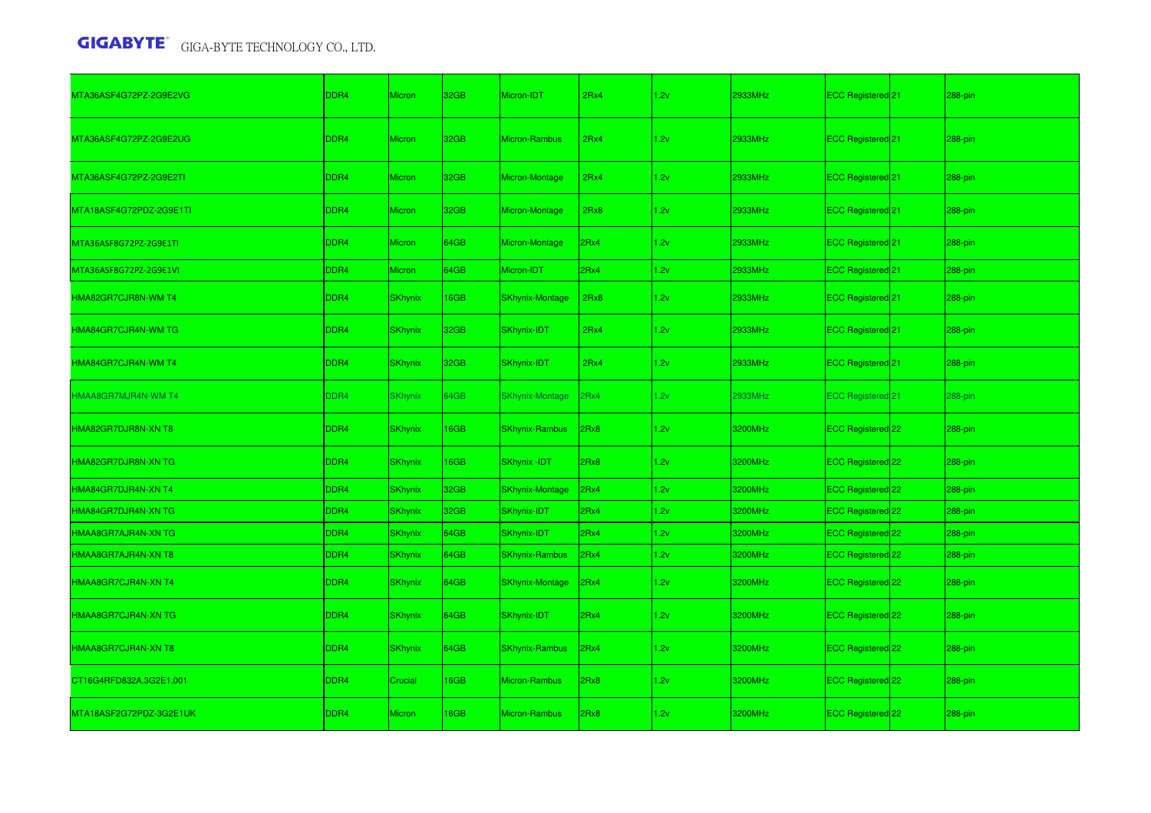| MTA36ASF4G72PZ-2G9E2VG  | DDR4 | <b>Micron</b>  | 32GB | Micron-IDT             | 2Rx4 | 1.2v | 2933MHz | ECC Registered 21            | 288-pin |
|-------------------------|------|----------------|------|------------------------|------|------|---------|------------------------------|---------|
| MTA36ASF4G72PZ-2G9E2UG  | DDR4 | <b>Micron</b>  | 32GB | Micron-Rambus          | 2Rx4 | 1.2v | 2933MHz | ECC Registered 21            | 288-pin |
| MTA36ASF4G72PZ-2G9E2TI  | DDR4 | <b>Micron</b>  | 32GB | Micron-Montage         | 2Rx4 | 1.2v | 2933MHz | ECC Registered <sup>21</sup> | 288-pin |
| MTA18ASF4G72PDZ-2G9E1TI | DDR4 | <b>Micron</b>  | 32GB | Micron-Montage         | 2Rx8 | 1.2v | 2933MHz | ECC Registered 21            | 288-pin |
| MTA36ASF8G72PZ-2G9E1TI  | DDR4 | <b>Micron</b>  | 64GB | Micron-Montage         | 2Rx4 | 1.2v | 2933MHz | ECC Registered 21            | 288-pin |
| MTA36ASF8G72PZ-2G9E1VI  | DDR4 | <b>Micron</b>  | 64GB | Micron-IDT             | 2Rx4 | 1.2v | 2933MHz | ECC Registered 21            | 288-pin |
| HMA82GR7CJR8N-WM T4     | DDR4 | <b>SKhynix</b> | 16GB | <b>SKhynix-Montage</b> | 2Rx8 | 1.2v | 2933MHz | ECC Registered 21            | 288-pin |
| HMA84GR7CJR4N-WM TG     | DDR4 | <b>SKhynix</b> | 32GB | SKhynix-IDT            | 2Rx4 | 1.2v | 2933MHz | ECC Registered 21            | 288-pin |
| HMA84GR7CJR4N-WM T4     | DDR4 | <b>SKhynix</b> | 32GB | SKhynix-IDT            | 2Rx4 | 1.2v | 2933MHz | ECC Registered <sup>21</sup> | 288-pin |
| HMAA8GR7MJR4N-WM T4     | DDR4 | <b>SKhynix</b> | 64GB | <b>SKhynix-Montage</b> | 2Rx4 | 1.2v | 2933MHz | <b>ECC Registered 21</b>     | 288-pin |
| HMA82GR7DJR8N-XN T8     | DDR4 | <b>SKhynix</b> | 16GB | <b>SKhynix-Rambus</b>  | 2Rx8 | 1.2v | 3200MHz | ECC Registered 22            | 288-pin |
| HMA82GR7DJR8N-XN TG     | DDR4 | <b>SKhynix</b> | 16GB | <b>SKhynix-IDT</b>     | 2Rx8 | 1.2v | 3200MHz | ECC Registered 22            | 288-pin |
| HMA84GR7DJR4N-XN T4     | DDR4 | <b>SKhynix</b> | 32GB | <b>SKhynix-Montage</b> | 2Rx4 | 1.2v | 3200MHz | ECC Registered 22            | 288-pin |
| HMA84GR7DJR4N-XN TG     | DDR4 | <b>SKhynix</b> | 32GB | SKhynix-IDT            | 2Rx4 | 1.2v | 3200MHz | ECC Registered 22            | 288-pin |
| HMAA8GR7AJR4N-XN TG     | DDR4 | <b>SKhynix</b> | 64GB | SKhynix-IDT            | 2Rx4 | 1.2v | 3200MHz | ECC Registered 22            | 288-pin |
| HMAA8GR7AJR4N-XN T8     | DDR4 | <b>SKhynix</b> | 64GB | <b>SKhynix-Rambus</b>  | 2Rx4 | 1.2v | 3200MHz | ECC Registered 22            | 288-pin |
| HMAA8GR7CJR4N-XN T4     | DDR4 | <b>SKhynix</b> | 64GB | <b>SKhynix-Montage</b> | 2Rx4 | 1.2v | 3200MHz | ECC Registered 22            | 288-pin |
| HMAA8GR7CJR4N-XN TG     | DDR4 | <b>SKhynix</b> | 64GB | SKhynix-IDT            | 2Rx4 | 1.2v | 3200MHz | ECC Registered 22            | 288-pin |
| HMAA8GR7CJR4N-XN T8     | DDR4 | <b>SKhynix</b> | 64GB | <b>SKhynix-Rambus</b>  | 2Rx4 | 1.2v | 3200MHz | ECC Registered 22            | 288-pin |
| CT16G4RFD832A.3G2E1.001 | DDR4 | Crucial        | 16GB | Micron-Rambus          | 2Rx8 | 1.2v | 3200MHz | ECC Registered 22            | 288-pin |
| MTA18ASF2G72PDZ-3G2E1UK | DDR4 | <b>Micron</b>  | 16GB | <b>Micron-Rambus</b>   | 2Rx8 | 1.2v | 3200MHz | ECC Registered 22            | 288-pin |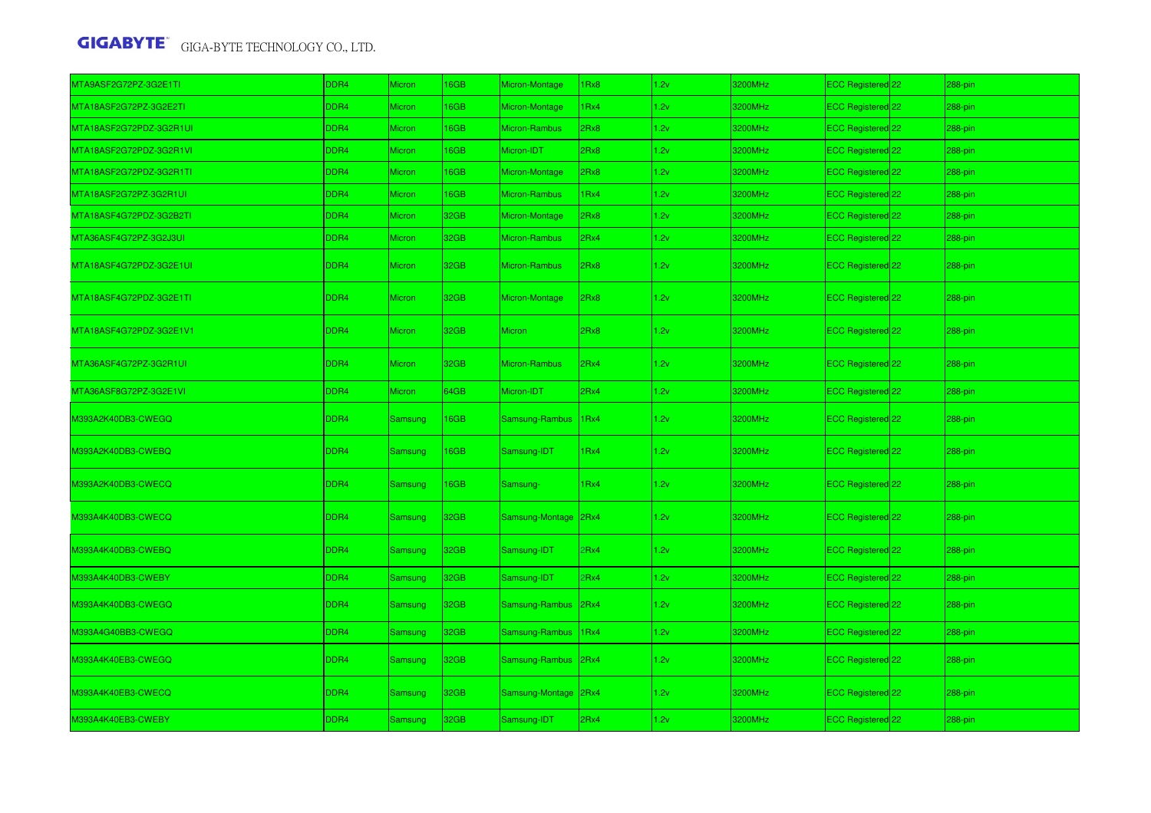| MTA9ASF2G72PZ-3G2E1TI   | DDR4 | <b>Micron</b>  | 16GB | Micron-Montage       | 1Rx8           | 1.2v | 3200MHz | ECC Registered 22 | 288-pin |
|-------------------------|------|----------------|------|----------------------|----------------|------|---------|-------------------|---------|
| MTA18ASF2G72PZ-3G2E2TI  | DDR4 | Micron         | 16GB | Micron-Montage       | 1Rx4           | 1.2v | 3200MHz | ECC Registered 22 | 288-pin |
| MTA18ASF2G72PDZ-3G2R1UI | DDR4 | <b>Micron</b>  | 16GB | Micron-Rambus        | 2Rx8           | 1.2v | 3200MHz | ECC Registered 22 | 288-pin |
| MTA18ASF2G72PDZ-3G2R1VI | DDR4 | <b>Micron</b>  | 16GB | Micron-IDT           | 2Rx8           | 1.2v | 3200MHz | ECC Registered 22 | 288-pin |
| MTA18ASF2G72PDZ-3G2R1TI | DDR4 | <b>Micron</b>  | 16GB | Micron-Montage       | 2Rx8           | 1.2v | 3200MHz | ECC Registered 22 | 288-pin |
| MTA18ASF2G72PZ-3G2R1UI  | DDR4 | <b>Micron</b>  | 16GB | Micron-Rambus        | 1Rx4           | 1.2v | 3200MHz | ECC Registered 22 | 288-pin |
| MTA18ASF4G72PDZ-3G2B2TI | DDR4 | <b>Micron</b>  | 32GB | Micron-Montage       | 2Rx8           | 1.2v | 3200MHz | ECC Registered 22 | 288-pin |
| MTA36ASF4G72PZ-3G2J3UI  | DDR4 | Micron         | 32GB | Micron-Rambus        | 2Rx4           | 1.2v | 3200MHz | ECC Registered 22 | 288-pin |
| MTA18ASF4G72PDZ-3G2E1UI | DDR4 | <b>Micron</b>  | 32GB | Micron-Rambus        | 2Rx8           | 1.2v | 3200MHz | ECC Registered 22 | 288-pin |
| MTA18ASF4G72PDZ-3G2E1TI | DDR4 | <b>Micron</b>  | 32GB | Micron-Montage       | 2Rx8           | 1.2v | 3200MHz | ECC Registered 22 | 288-pin |
| MTA18ASF4G72PDZ-3G2E1V1 | DDR4 | <b>Micron</b>  | 32GB | <b>Micron</b>        | 2Rx8           | 1.2v | 3200MHz | ECC Registered 22 | 288-pin |
| MTA36ASF4G72PZ-3G2R1UI  | DDR4 | <b>Micron</b>  | 32GB | Micron-Rambus        | 2Rx4           | 1.2v | 3200MHz | ECC Registered 22 | 288-pin |
| MTA36ASF8G72PZ-3G2E1VI  | DDR4 | Micron         | 64GB | Micron-IDT           | 2Rx4           | 1.2v | 3200MHz | ECC Registered 22 | 288-pin |
| M393A2K40DB3-CWEGQ      | DDR4 | Samsung        | 16GB | Samsung-Rambus       | $ 1Rx4\rangle$ | 1.2v | 3200MHz | ECC Registered 22 | 288-pin |
| M393A2K40DB3-CWEBQ      | DDR4 | Samsung        | 16GB | Samsung-IDT          | 1Rx4           | 1.2v | 3200MHz | ECC Registered 22 | 288-pin |
| M393A2K40DB3-CWECQ      | DDR4 | Samsung        | 16GB | Samsung-             | 1Rx4           | 1.2v | 3200MHz | ECC Registered 22 | 288-pin |
| M393A4K40DB3-CWECQ      | DDR4 | Samsung        | 32GB | Samsung-Montage      | 2Rx4           | 1.2v | 3200MHz | ECC Registered 22 | 288-pin |
| M393A4K40DB3-CWEBQ      | DDR4 | <b>Samsung</b> | 32GB | Samsung-IDT          | 2Rx4           | 1.2v | 3200MHz | ECC Registered 22 | 288-pin |
| M393A4K40DB3-CWEBY      | DDR4 | Samsung        | 32GB | Samsung-IDT          | 2Rx4           | 1.2v | 3200MHz | ECC Registered 22 | 288-pin |
| M393A4K40DB3-CWEGQ      | DDR4 | <b>Samsung</b> | 32GB | Samsung-Rambus 2Rx4  |                | 1.2v | 3200MHz | ECC Registered 22 | 288-pin |
| M393A4G40BB3-CWEGQ      | DDR4 | Samsung        | 32GB | Samsung-Rambus       | 1Rx4           | 1.2v | 3200MHz | ECC Registered 22 | 288-pin |
| M393A4K40EB3-CWEGQ      | DDR4 | Samsung        | 32GB | Samsung-Rambus 2Rx4  |                | 1.2v | 3200MHz | ECC Registered 22 | 288-pin |
| M393A4K40EB3-CWECQ      | DDR4 | <b>Samsung</b> | 32GB | Samsung-Montage 2Rx4 |                | 1.2v | 3200MHz | ECC Registered 22 | 288-pin |
| M393A4K40EB3-CWEBY      | DDR4 | Samsung        | 32GB | Samsung-IDT          | 2Rx4           | 1.2v | 3200MHz | ECC Registered 22 | 288-pin |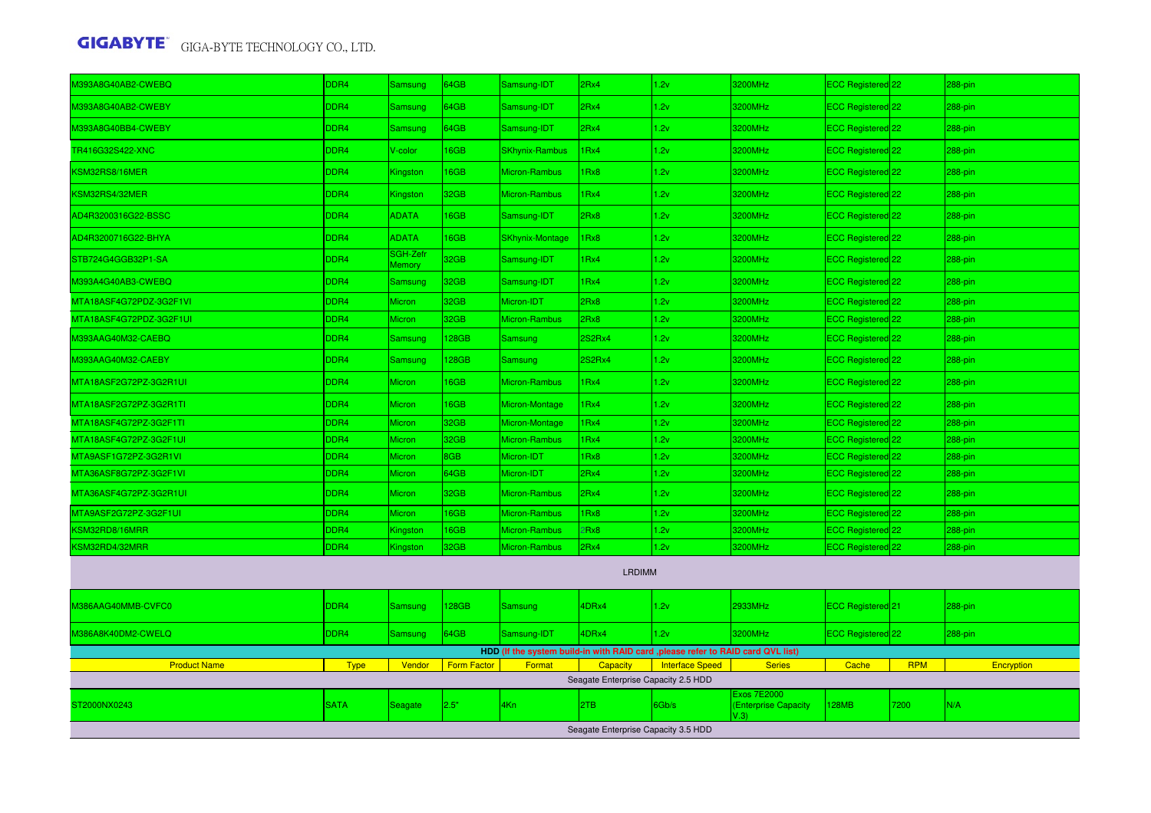| 0393A8G40AB2-CWEBQ      | DDR4             | <b>Samsung</b>            | 64GB               | Samsung-IDT                                                                      | 2Rx4                                | 1.2v                   | 3200MHz                                            | ECC Registered 22              |            | 288-pin           |
|-------------------------|------------------|---------------------------|--------------------|----------------------------------------------------------------------------------|-------------------------------------|------------------------|----------------------------------------------------|--------------------------------|------------|-------------------|
| M393A8G40AB2-CWEBY      | DDR4             | Samsung                   | 64GB               | Samsung-IDT                                                                      | 2Rx4                                | 1.2v                   | <b>3200MHz</b>                                     | ECC Registered 22              |            | 288-pin           |
| M393A8G40BB4-CWEBY      | DDR4             | Samsung                   | 64GB               | Samsung-IDT                                                                      | 2Rx4                                | 1.2v                   | 3200MHz                                            | ECC Registered 22              |            | 288-pin           |
| TR416G32S422-XNC        | DDR4             | V-color                   | 16GB               | <b>SKhynix-Rambus</b>                                                            | 1Rx4                                | 1.2v                   | 3200MHz                                            | ECC Registered 22              |            | 288-pin           |
| KSM32RS8/16MER          | DDR4             | Kingston                  | 16GB               | Micron-Rambus                                                                    | 1Rx8                                | 1.2v                   | 3200MHz                                            | ECC Registered 22              |            | 288-pin           |
| KSM32RS4/32MER          | DDR4             | Kingston                  | 32GB               | Micron-Rambus                                                                    | 1Rx4                                | 1.2v                   | <b>3200MHz</b>                                     | ECC Registered 22              |            | 288-pin           |
| AD4R3200316G22-BSSC     | DDR4             | <b>ADATA</b>              | 16GB               | Samsung-IDT                                                                      | 2Rx8                                | 1.2v                   | 3200MHz                                            | ECC Registered <sup>1</sup> 22 |            | 288-pin           |
| AD4R3200716G22-BHYA     | DDR4             | <b>ADATA</b>              | 16GB               | <b>SKhynix-Montage</b>                                                           | 1Rx8                                | 1.2v                   | 3200MHz                                            | ECC Registered 22              |            | 288-pin           |
| STB724G4GGB32P1-SA      | DDR4             | SGH-Zefr<br><b>Memory</b> | 32GB               | Samsung-IDT                                                                      | 1Rx4                                | 1.2v                   | 3200MHz                                            | ECC Registered 22              |            | 288-pin           |
| M393A4G40AB3-CWEBQ      | DDR4             | Samsung                   | 32GB               | Samsung-IDT                                                                      | 1Rx4                                | 1.2v                   | 3200MHz                                            | ECC Registered 22              |            | 288-pin           |
| MTA18ASF4G72PDZ-3G2F1VI | DDR4             | Micron                    | 32GB               | Micron-IDT                                                                       | 2Rx8                                | 1.2v                   | 3200MHz                                            | ECC Registered 22              |            | 288-pin           |
| MTA18ASF4G72PDZ-3G2F1UI | DDR <sub>4</sub> | Micron                    | 32GB               | Micron-Rambus                                                                    | 2Rx8                                | 1.2v                   | 3200MHz                                            | ECC Registered 22              |            | 288-pin           |
| M393AAG40M32-CAEBQ      | DDR4             | Samsung                   | 128GB              | Samsung                                                                          | 2S2Rx4                              | 1.2v                   | 3200MHz                                            | ECC Registered 22              |            | 288-pin           |
| M393AAG40M32-CAEBY      | DDR4             | Samsung                   | 128GB              | Samsung                                                                          | 2S2Rx4                              | 1.2v                   | 3200MHz                                            | ECC Registered 22              |            | $288-pin$         |
| MTA18ASF2G72PZ-3G2R1UI  | DDR4             | Micron                    | 16GB               | Micron-Rambus                                                                    | 1Rx4                                | 1.2v                   | 3200MHz                                            | ECC Registered 22              |            | 288-pin           |
| MTA18ASF2G72PZ-3G2R1TI  | DDR4             | Micron                    | 16GB               | Micron-Montage                                                                   | 1Rx4                                | 1.2v                   | 3200MHz                                            | ECC Registered 22              |            | 288-pin           |
| MTA18ASF4G72PZ-3G2F1TI  | DDR4             | <b>Micron</b>             | 32GB               | Micron-Montage                                                                   | 1Rx4                                | 1.2v                   | 3200MHz                                            | ECC Registered 22              |            | 288-pin           |
| MTA18ASF4G72PZ-3G2F1UI  | DDR4             | Micron                    | 32GB               | Micron-Rambus                                                                    | 1Rx4                                | 1.2v                   | 3200MHz                                            | ECC Registered 22              |            | 288-pin           |
| MTA9ASF1G72PZ-3G2R1VI   | DDR4             | Micron                    | 8GB                | Micron-IDT                                                                       | 1Rx8                                | 1.2v                   | 3200MHz                                            | ECC Registered <sup>22</sup>   |            | 288-pin           |
| MTA36ASF8G72PZ-3G2F1VI  | DDR4             | Micron                    | 64GB               | Micron-IDT                                                                       | 2Rx4                                | 1.2v                   | 3200MHz                                            | ECC Registered <sup>22</sup>   |            | 288-pin           |
| MTA36ASF4G72PZ-3G2R1UI  | DDR4             | Micron                    | 32GB               | Micron-Rambus                                                                    | 2Rx4                                | 1.2v                   | 3200MHz                                            | ECC Registered <sup>22</sup>   |            | 288-pin           |
| MTA9ASF2G72PZ-3G2F1UI   | DDR4             | <b>Micron</b>             | 16GB               | <b>Micron-Rambus</b>                                                             | 1Rx8                                | 1.2v                   | 3200MHz                                            | ECC Registered 22              |            | 288-pin           |
| KSM32RD8/16MRR          | DDR4             | Kingston                  | 16GB               | Micron-Rambus                                                                    | 2Rx8                                | 1.2v                   | 3200MHz                                            | ECC Registered <sup>22</sup>   |            | 288-pin           |
| KSM32RD4/32MRR          | DDR <sub>4</sub> | Kingston                  | 32GB               | Micron-Rambus                                                                    | 2Rx4                                | 1.2v                   | 3200MHz                                            | ECC Registered 22              |            | 288-pin           |
|                         |                  |                           |                    |                                                                                  | <b>LRDIMM</b>                       |                        |                                                    |                                |            |                   |
| M386AAG40MMB-CVFC0      | DDR <sub>4</sub> | Samsung                   | 128GB              | Samsung                                                                          | 4DRx4                               | 1.2v                   | 2933MHz                                            | ECC Registered 21              |            | 288-pin           |
| M386A8K40DM2-CWELQ      | DDR4             | Samsung                   | 64GB               | Samsung-IDT                                                                      | 4DRx4                               | 1.2v                   | 3200MHz                                            | ECC Registered 22              |            | 288-pin           |
|                         |                  |                           |                    | HDD (If the system build-in with RAID card , please refer to RAID card QVL list) |                                     |                        |                                                    |                                |            |                   |
| <b>Product Name</b>     | <b>Type</b>      | Vendor                    | <b>Form Factor</b> | Format                                                                           | <b>Capacity</b>                     | <b>Interface Speed</b> | <b>Series</b>                                      | Cache                          | <b>RPM</b> | <b>Encryption</b> |
|                         |                  |                           |                    |                                                                                  | Seagate Enterprise Capacity 2.5 HDD |                        |                                                    |                                |            |                   |
| ST2000NX0243            | <b>SATA</b>      | Seagate                   | 2.5"               | 4Kn                                                                              | 2TB                                 | 6Gb/s                  | <b>Exos 7E2000</b><br>(Enterprise Capacity<br>V.3) | <b>128MB</b>                   | 7200       | N/A               |
|                         |                  |                           |                    |                                                                                  | Seagate Enterprise Capacity 3.5 HDD |                        |                                                    |                                |            |                   |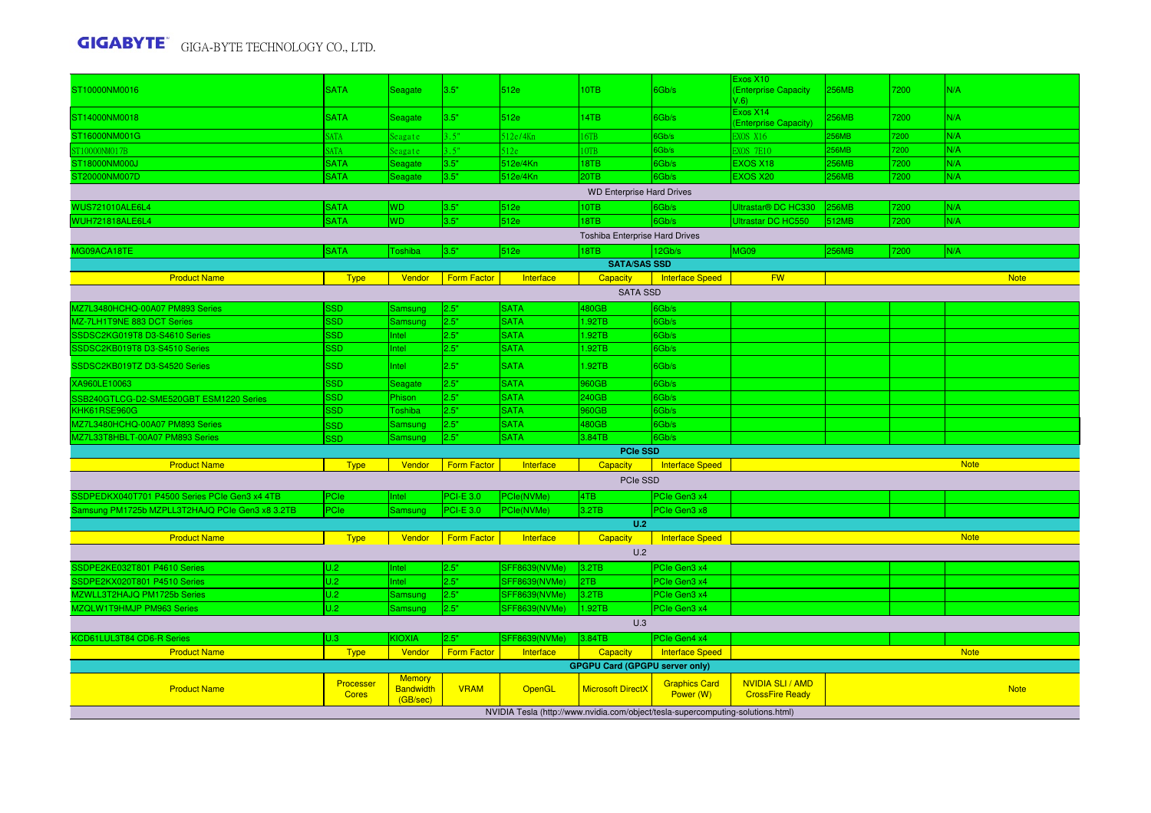| ST10000NM0016                                   | <b>SATA</b>               | <b>Seagate</b>                                | 3.5"               | 512e                 | 10TB                                  | 6Gb/s                                                                           | Exos X10<br>(Enterprise Capacity                  | <b>256MB</b> | 7200 | N/A         |
|-------------------------------------------------|---------------------------|-----------------------------------------------|--------------------|----------------------|---------------------------------------|---------------------------------------------------------------------------------|---------------------------------------------------|--------------|------|-------------|
|                                                 |                           |                                               |                    |                      |                                       |                                                                                 | $V.6$ )                                           |              |      |             |
| ST14000NM0018                                   | <b>SATA</b>               | Seagate                                       | 3.5"               | 512e                 | 14TB                                  | 6Gb/s                                                                           | Exos X14<br>(Enterprise Capacity)                 | 256MB        | 7200 | N/A         |
| ST16000NM001G                                   | <b>SATA</b>               | Seagate                                       | 3.5"               | 512e/4Kn             | 16TB                                  | 6Gb/s                                                                           | EXOS X16                                          | 256MB        | 7200 | N/A         |
| ST10000NM017B                                   | <b>SATA</b>               | Seagate                                       | 3.5"               | 512e                 | $10T$ B                               | 6Gb/s                                                                           | <b>EXOS 7E10</b>                                  | <b>56MB</b>  | 7200 | N/A         |
| ST18000NM000J                                   | <b>SATA</b>               | Seagate                                       | 3.5"               | 512e/4Kn             | 18TB                                  | 6Gb/s                                                                           | <b>EXOS X18</b>                                   | 256MB        | 7200 | N/A         |
| ST20000NM007D                                   | <b>SATA</b>               | Seagate                                       | 3.5"               | 512e/4Kn             | 20TB                                  | 6Gb/s                                                                           | EXOS X20                                          | <b>256MB</b> | 7200 | N/A         |
| <b>WD Enterprise Hard Drives</b>                |                           |                                               |                    |                      |                                       |                                                                                 |                                                   |              |      |             |
| <b>WUS721010ALE6L4</b>                          | <b>SATA</b>               | <b>WD</b>                                     | 3.5"               | 512e                 | 10TB                                  | 6Gb/s                                                                           | Ultrastar® DC HC330                               | 256MB        | 7200 | N/A         |
| WUH721818ALE6L4                                 | <b>SATA</b>               | <b>WD</b>                                     | 3.5"               | 512e                 | 18TB                                  | 6Gb/s                                                                           | <b>Ultrastar DC HC550</b>                         | 512MB        | 7200 | N/A         |
|                                                 |                           |                                               |                    |                      | Toshiba Enterprise Hard Drives        |                                                                                 |                                                   |              |      |             |
| MG09ACA18TE                                     | <b>SATA</b>               | Toshiba                                       | 3.5"               | 512e                 | 18TB                                  | 12Gb/s                                                                          | <b>MG09</b>                                       | 256MB        | 7200 | N/A         |
|                                                 |                           |                                               |                    |                      | <b>SATA/SAS SSD</b>                   |                                                                                 |                                                   |              |      |             |
| <b>Product Name</b>                             | <b>Type</b>               | Vendor                                        | <b>Form Factor</b> | Interface            | <b>Capacity</b>                       | <b>Interface Speed</b>                                                          | <b>FW</b>                                         |              |      | <b>Note</b> |
|                                                 |                           |                                               |                    |                      | <b>SATA SSD</b>                       |                                                                                 |                                                   |              |      |             |
| MZ7L3480HCHQ-00A07 PM893 Series                 | <b>SSD</b>                | Samsung                                       | 2.5"               | <b>SATA</b>          | 480GB                                 | 6Gb/s                                                                           |                                                   |              |      |             |
| MZ-7LH1T9NE 883 DCT Series                      | <b>SSD</b>                | Samsung                                       | 2.5"               | <b>SATA</b>          | 1.92TB                                | 6Gb/s                                                                           |                                                   |              |      |             |
| SSDSC2KG019T8 D3-S4610 Series                   | <b>SSD</b>                | Intel                                         | 2.5"               | <b>SATA</b>          | 1.92TB                                | 6Gb/s                                                                           |                                                   |              |      |             |
| SSDSC2KB019T8 D3-S4510 Series                   | <b>SSD</b>                | Intel                                         | 2.5"               | <b>SATA</b>          | 1.92TB                                | Gb/s                                                                            |                                                   |              |      |             |
| SSDSC2KB019TZ D3-S4520 Series                   | <b>SSD</b>                | Intel                                         | 2.5"               | <b>SATA</b>          | 1.92TB                                | 6Gb/s                                                                           |                                                   |              |      |             |
| XA960LE10063                                    | <b>SSD</b>                | Seagate                                       | 2.5"               | <b>SATA</b>          | 960GB                                 | 6Gb/s                                                                           |                                                   |              |      |             |
| SSB240GTLCG-D2-SME520GBT ESM1220 Series         | <b>SSD</b>                | Phison                                        | 2.5"               | <b>SATA</b>          | 240GB                                 | 6Gb/s                                                                           |                                                   |              |      |             |
| KHK61RSE960G                                    | <b>SSD</b>                | Toshiba                                       | 2.5"               | <b>SATA</b>          | 960GB                                 | 6Gb/s                                                                           |                                                   |              |      |             |
| MZ7L3480HCHQ-00A07 PM893 Series                 | <b>SSD</b>                | Samsuno                                       | 2.5"               | <b>SATA</b>          | 480GB                                 | 6Gb/s                                                                           |                                                   |              |      |             |
| MZ7L33T8HBLT-00A07 PM893 Series                 | <b>SSD</b>                | Samsung                                       | 2.5"               | <b>SATA</b>          | 3.84TB                                | 6Gb/s                                                                           |                                                   |              |      |             |
|                                                 |                           |                                               |                    |                      | PCIe SSD                              |                                                                                 |                                                   |              |      |             |
| <b>Product Name</b>                             | <b>Type</b>               | Vendor                                        | <b>Form Factor</b> | Interface            | Capacity                              | <b>Interface Speed</b>                                                          |                                                   |              |      | <b>Note</b> |
|                                                 |                           |                                               |                    |                      | PCIe SSD                              |                                                                                 |                                                   |              |      |             |
| SSDPEDKX040T701 P4500 Series PCIe Gen3 x4 4TB   | PCIe                      | Intel                                         | <b>PCI-E 3.0</b>   | PCle(NVMe)           | 4TB                                   | PCIe Gen3 x4                                                                    |                                                   |              |      |             |
| Samsung PM1725b MZPLL3T2HAJQ PCIe Gen3 x8 3.2TB | PCle                      | Samsung                                       | <b>PCI-E 3.0</b>   | PCle(NVMe)           | 3.2TB                                 | PCIe Gen3 x8                                                                    |                                                   |              |      |             |
|                                                 |                           |                                               |                    |                      | U.2                                   |                                                                                 |                                                   |              |      |             |
| <b>Product Name</b>                             | <b>Type</b>               | Vendor                                        | <b>Form Factor</b> | Interface            | Capacity                              | <b>Interface Speed</b>                                                          |                                                   |              |      | <b>Note</b> |
|                                                 |                           |                                               |                    |                      | U.2                                   |                                                                                 |                                                   |              |      |             |
| SSDPE2KE032T801 P4610 Series                    | U.2                       | Intel                                         | 2.5"               | <b>SFF8639(NVMe)</b> | 3.2TB                                 | PCIe Gen3 x4                                                                    |                                                   |              |      |             |
| SSDPE2KX020T801 P4510 Series                    | U.2                       | Intel                                         | 2.5"               | SFF8639(NVMe)        | 2TB                                   | PCIe Gen3 x4                                                                    |                                                   |              |      |             |
| MZWLL3T2HAJQ PM1725b Series                     | U.2                       | Samsung                                       | 2.5"               | <b>SFF8639(NVMe)</b> | 3.2TB                                 | PCIe Gen3 x4                                                                    |                                                   |              |      |             |
| MZQLW1T9HMJP PM963 Series                       | U.2                       | Samsung                                       | 2.5"               | SFF8639(NVMe)        | 1.92TB                                | PCIe Gen3 x4                                                                    |                                                   |              |      |             |
|                                                 |                           |                                               |                    |                      | U.3                                   |                                                                                 |                                                   |              |      |             |
| KCD61LUL3T84 CD6-R Series                       | U.3                       | <b>KIOXIA</b>                                 | 2.5"               | <b>SFF8639(NVMe)</b> | 3.84TB                                | PCIe Gen4 x4                                                                    |                                                   |              |      |             |
| <b>Product Name</b>                             | <b>Type</b>               | Vendor                                        | <b>Form Factor</b> | Interface            | <b>Capacity</b>                       | <b>Interface Speed</b>                                                          |                                                   |              |      | <b>Note</b> |
|                                                 |                           |                                               |                    |                      | <b>GPGPU Card (GPGPU server only)</b> |                                                                                 |                                                   |              |      |             |
| <b>Product Name</b>                             | Processer<br><b>Cores</b> | <b>Memory</b><br><b>Bandwidth</b><br>(GB/sec) | <b>VRAM</b>        | OpenGL               | <b>Microsoft DirectX</b>              | <b>Graphics Card</b><br>Power (W)                                               | <b>NVIDIA SLI / AMD</b><br><b>CrossFire Ready</b> |              |      | <b>Note</b> |
|                                                 |                           |                                               |                    |                      |                                       | NVIDIA Tesla (http://www.nvidia.com/object/tesla-supercomputing-solutions.html) |                                                   |              |      |             |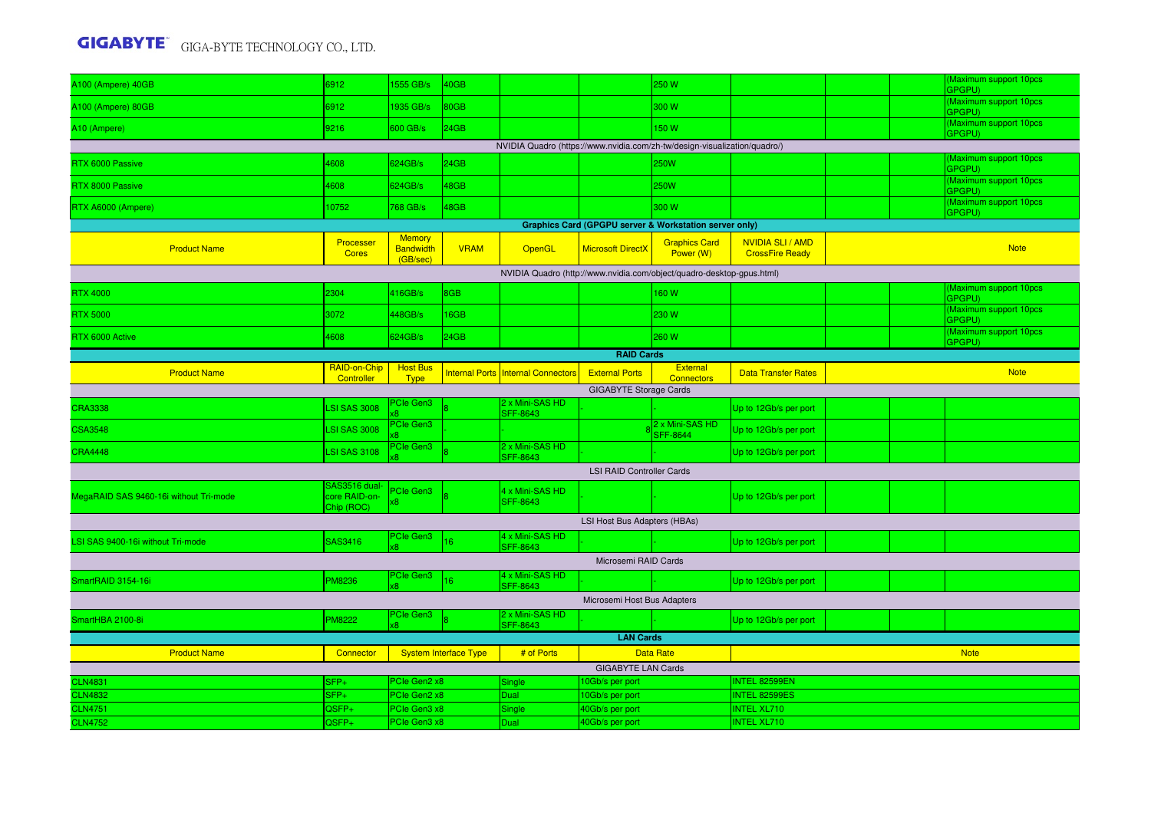|                                                                           |                                              |                                               |                              |                                           |                                  |                                    |                                            |  |  | (Maximum support 10pcs            |
|---------------------------------------------------------------------------|----------------------------------------------|-----------------------------------------------|------------------------------|-------------------------------------------|----------------------------------|------------------------------------|--------------------------------------------|--|--|-----------------------------------|
| A100 (Ampere) 40GB                                                        | 6912                                         | 1555 GB/s                                     | 40GB                         |                                           |                                  | 250 W                              |                                            |  |  | GPGPU)                            |
| A100 (Ampere) 80GB                                                        | 6912                                         | 1935 GB/s                                     | 80GB                         |                                           |                                  | 300 W                              |                                            |  |  | Maximum support 10pcs<br>GPGPU)   |
| A10 (Ampere)                                                              | 9216                                         | 600 GB/s                                      | 24GB                         |                                           |                                  | 150W                               |                                            |  |  | (Maximum support 10pcs<br>GPGPU)  |
| NVIDIA Quadro (https://www.nvidia.com/zh-tw/design-visualization/quadro/) |                                              |                                               |                              |                                           |                                  |                                    |                                            |  |  |                                   |
| RTX 6000 Passive                                                          | 4608                                         | 624GB/s                                       | 24GB                         |                                           |                                  | 250W                               |                                            |  |  | Maximum support 10pcs<br>GPGPU)   |
| RTX 8000 Passive                                                          | 4608                                         | 624GB/s                                       | 48GB                         |                                           |                                  | 250W                               |                                            |  |  | (Maximum support 10pcs<br>GPGPU)  |
| RTX A6000 (Ampere)                                                        | 10752                                        | 768 GB/s                                      | 48GB                         |                                           |                                  | 300 W                              |                                            |  |  | Maximum support 10pcs<br>GPGPU)   |
| <b>Graphics Card (GPGPU server &amp; Workstation server only)</b>         |                                              |                                               |                              |                                           |                                  |                                    |                                            |  |  |                                   |
| <b>Product Name</b>                                                       | Processer<br><b>Cores</b>                    | <b>Memory</b><br><b>Bandwidth</b><br>(GB/sec) | <b>VRAM</b>                  | <b>OpenGL</b>                             | <b>Microsoft DirectX</b>         | <b>Graphics Card</b><br>Power (W)  | NVIDIA SLI / AMD<br><b>CrossFire Ready</b> |  |  | <b>Note</b>                       |
| NVIDIA Quadro (http://www.nvidia.com/object/quadro-desktop-gpus.html)     |                                              |                                               |                              |                                           |                                  |                                    |                                            |  |  |                                   |
| <b>RTX 4000</b>                                                           | 2304                                         | 416GB/s                                       | 8GB                          |                                           |                                  | 160W                               |                                            |  |  | (Maximum support 10pcs)<br>GPGPU) |
| <b>RTX 5000</b>                                                           | 3072                                         | 448GB/s                                       | 16GB                         |                                           |                                  | 230 W                              |                                            |  |  | (Maximum support 10pcs<br>GPGPU)  |
| RTX 6000 Active                                                           | 4608                                         | 624GB/s                                       | 24GB                         |                                           |                                  | 260 W                              |                                            |  |  | (Maximum support 10pcs)<br>GPGPU) |
| <b>RAID Cards</b>                                                         |                                              |                                               |                              |                                           |                                  |                                    |                                            |  |  |                                   |
| <b>Product Name</b>                                                       | RAID-on-Chip<br>Controller                   | <b>Host Bus</b><br><b>Type</b>                |                              | <b>Internal Ports Internal Connectors</b> | <b>External Ports</b>            | <b>External</b><br>Connectors      | <b>Data Transfer Rates</b>                 |  |  | <b>Note</b>                       |
| <b>GIGABYTE Storage Cards</b>                                             |                                              |                                               |                              |                                           |                                  |                                    |                                            |  |  |                                   |
| <b>CRA3338</b>                                                            | <b>LSI SAS 3008</b>                          | PCIe Gen3                                     |                              | 2 x Mini-SAS HD<br><b>SFF-8643</b>        |                                  |                                    | Up to 12Gb/s per port                      |  |  |                                   |
| <b>CSA3548</b>                                                            | <b>LSI SAS 3008</b>                          | <b>PCIe Gen3</b>                              |                              |                                           |                                  | 2 x Mini-SAS HD<br><b>SFF-8644</b> | Up to 12Gb/s per port                      |  |  |                                   |
| <b>CRA4448</b>                                                            | <b>LSI SAS 3108</b>                          | PCIe Gen3                                     |                              | 2 x Mini-SAS HD<br><b>SFF-8643</b>        |                                  |                                    | Up to 12Gb/s per port                      |  |  |                                   |
|                                                                           |                                              |                                               |                              |                                           | <b>LSI RAID Controller Cards</b> |                                    |                                            |  |  |                                   |
| MegaRAID SAS 9460-16i without Tri-mode                                    | SAS3516 dual-<br>core RAID-on-<br>Chip (ROC) | PCIe Gen3                                     |                              | 4 x Mini-SAS HD<br><b>SFF-8643</b>        |                                  |                                    | Up to 12Gb/s per port                      |  |  |                                   |
|                                                                           |                                              |                                               |                              |                                           | LSI Host Bus Adapters (HBAs)     |                                    |                                            |  |  |                                   |
| LSI SAS 9400-16i without Tri-mode                                         | SAS3416                                      | PCIe Gen3                                     | 16                           | 4 x Mini-SAS HD<br><b>SFF-8643</b>        |                                  |                                    | Up to 12Gb/s per port                      |  |  |                                   |
|                                                                           |                                              |                                               |                              |                                           | Microsemi RAID Cards             |                                    |                                            |  |  |                                   |
| SmartRAID 3154-16i                                                        | <b>PM8236</b>                                | PCIe Gen3                                     |                              | 4 x Mini-SAS HD<br><b>SFF-8643</b>        |                                  |                                    | Up to 12Gb/s per port                      |  |  |                                   |
|                                                                           |                                              |                                               |                              |                                           | Microsemi Host Bus Adapters      |                                    |                                            |  |  |                                   |
| SmartHBA 2100-8i                                                          | <b>PM8222</b>                                | PCIe Gen3                                     |                              | 2 x Mini-SAS HD<br><b>SFF-8643</b>        |                                  |                                    | Up to 12Gb/s per port                      |  |  |                                   |
|                                                                           |                                              |                                               |                              |                                           | <b>LAN Cards</b>                 |                                    |                                            |  |  |                                   |
| <b>Product Name</b>                                                       | Connector                                    |                                               | <b>System Interface Type</b> | # of Ports                                |                                  | <b>Data Rate</b>                   |                                            |  |  | <b>Note</b>                       |
|                                                                           |                                              |                                               |                              |                                           | <b>GIGABYTE LAN Cards</b>        |                                    |                                            |  |  |                                   |
| <b>CLN4831</b>                                                            | SFP+                                         | PCle Gen2 x8                                  |                              | Single                                    | 10Gb/s per port                  |                                    | INTEL 82599EN                              |  |  |                                   |
| <b>CLN4832</b>                                                            | SFP+                                         | PCle Gen2 x8                                  |                              | Dual                                      | 0Gb/s per port                   |                                    | <b>INTEL 82599ES</b>                       |  |  |                                   |
| <b>CLN4751</b>                                                            | QSFP+                                        | PCIe Gen3 x8                                  |                              | Single                                    | 40Gb/s per port                  |                                    | <b>INTEL XL710</b>                         |  |  |                                   |
| <b>CLN4752</b>                                                            | QSFP+                                        | PCle Gen3 x8                                  |                              | Dual                                      | 40Gb/s per port                  |                                    | <b>INTEL XL710</b>                         |  |  |                                   |